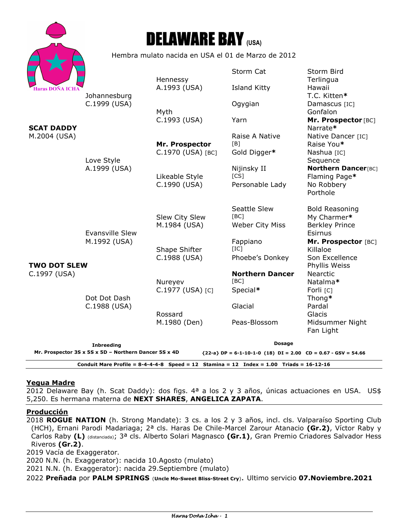



Hembra mulato nacida en USA el 01 de Marzo de 2012

|                                                                                                                          |                                        |                                | Storm Cat              | Storm Bird                           |
|--------------------------------------------------------------------------------------------------------------------------|----------------------------------------|--------------------------------|------------------------|--------------------------------------|
| <b>Haras DOÑA ICHA</b><br><b>SCAT DADDY</b><br>M.2004 (USA)                                                              | Johannesburg<br>C.1999 (USA)           | Hennessy<br>A.1993 (USA)       | <b>Island Kitty</b>    | Terlingua<br>Hawaii                  |
|                                                                                                                          |                                        |                                | Ogygian                | T.C. Kitten*<br>Damascus [IC]        |
|                                                                                                                          |                                        | Myth                           |                        | Gonfalon                             |
|                                                                                                                          | Love Style<br>A.1999 (USA)             | C.1993 (USA)                   | Yarn                   | Mr. Prospector [BC]<br>Narrate*      |
|                                                                                                                          |                                        |                                | Raise A Native         | Native Dancer [IC]                   |
|                                                                                                                          |                                        | Mr. Prospector                 | [B]                    | Raise You*                           |
|                                                                                                                          |                                        | C.1970 (USA) [BC]              | Gold Digger*           | Nashua [IC]                          |
|                                                                                                                          |                                        |                                |                        | Sequence                             |
|                                                                                                                          |                                        |                                | Nijinsky II            | <b>Northern Dancer[BC]</b>           |
|                                                                                                                          |                                        | Likeable Style                 | [CS]                   | Flaming Page*                        |
|                                                                                                                          |                                        | C.1990 (USA)                   | Personable Lady        | No Robbery<br>Porthole               |
|                                                                                                                          |                                        |                                |                        |                                      |
|                                                                                                                          | <b>Evansville Slew</b><br>M.1992 (USA) |                                | Seattle Slew<br>[BC]   | <b>Bold Reasoning</b><br>My Charmer* |
|                                                                                                                          |                                        | Slew City Slew<br>M.1984 (USA) | <b>Weber City Miss</b> | <b>Berkley Prince</b>                |
|                                                                                                                          |                                        |                                |                        | Esirnus                              |
|                                                                                                                          |                                        |                                | Fappiano               | Mr. Prospector [BC]                  |
|                                                                                                                          |                                        | Shape Shifter                  | [IC]                   | Killaloe                             |
|                                                                                                                          |                                        | C.1988 (USA)                   | Phoebe's Donkey        | Son Excellence                       |
| <b>TWO DOT SLEW</b>                                                                                                      | Dot Dot Dash<br>C.1988 (USA)           |                                |                        | Phyllis Weiss                        |
| C.1997 (USA)                                                                                                             |                                        |                                | <b>Northern Dancer</b> | <b>Nearctic</b>                      |
|                                                                                                                          |                                        | Nureyev                        | [BC]                   | Natalma*                             |
|                                                                                                                          |                                        | C.1977 (USA) [C]               | Special*               | Forli [C]                            |
|                                                                                                                          |                                        |                                |                        | Thong*                               |
|                                                                                                                          |                                        |                                | Glacial                | Pardal                               |
|                                                                                                                          |                                        | Rossard                        |                        | Glacis                               |
|                                                                                                                          |                                        | M.1980 (Den)                   | Peas-Blossom           | Midsummer Night                      |
|                                                                                                                          |                                        |                                |                        | Fan Light                            |
|                                                                                                                          | <b>Inbreeding</b>                      |                                | <b>Dosage</b>          |                                      |
| Mr. Prospector 3S x 5S x 5D - Northern Dancer 5S x 4D<br>${22-a}$ DP = 6-1-10-1-0 (18) DI = 2.00 CD = 0.67 - GSV = 54.66 |                                        |                                |                        |                                      |
| Conduit Mare Profile = $8-4-4-4-8$ Speed = 12 Stamina = 12 Index = 1.00 Triads = 16-12-16                                |                                        |                                |                        |                                      |

## **Yegua Madre**

2012 Delaware Bay (h. Scat Daddy): dos figs. 4<sup>a</sup> a los 2 y 3 años, únicas actuaciones en USA. US\$ 5,250. Es hermana materna de **NEXT SHARES**, **ANGELICA ZAPATA**.

## **Producción**

2018 **ROGUE NATION** (h. Strong Mandate): 3 cs. a los 2 y 3 años, incl. cls. Valparaíso Sporting Club (HCH), Ernani Parodi Madariaga; 2ª cls. Haras De Chile-Marcel Zarour Atanacio **(Gr.2)**, Víctor Raby y Carlos Raby **(L)** (distanciada); 3ª cls. Alberto Solari Magnasco **(Gr.1)**, Gran Premio Criadores Salvador Hess Riveros **(Gr.2)**.

2019 Vacía de Exaggerator.

2020 N.N. (h. Exaggerator): nacida 10.Agosto (mulato)

2021 N.N. (h. Exaggerator): nacida 29.Septiembre (mulato)

2022 **Preñada** por **PALM SPRINGS** (**Uncle Mo-Sweet Bliss-Street Cry**). Ultimo servicio **07.Noviembre.2021**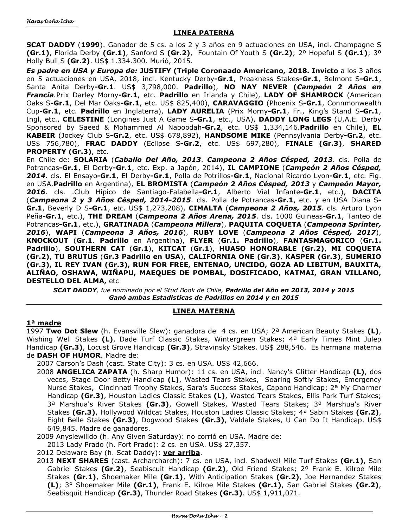## **LINEA PATERNA**

**SCAT DADDY** (**1999**). Ganador de 5 cs. a los 2 y 3 años en 9 actuaciones en USA, incl. Champagne S **(Gr.1)**, Florida Derby **(Gr.1)**, Sanford S **(Gr.2)**,Fountain Of Youth S **(Gr.2)**; 2º Hopeful S **(Gr.1)**; 3º Holly Bull S **(Gr.2)**. US\$ 1.334.300. Murió, 2015.

*Es padre en USA y Europa de:* **JUSTIFY (Triple Coronaado Americano, 2018. Invicto** a los 3 años en 5 actuaciones en USA, 2018, incl. Kentucky Derby**-Gr.1**, Preakness Stakes**-Gr.1**, Belmont S**-Gr.1**, Santa Anita Derby**-Gr.1**. US\$ 3,798,000. **Padrillo**), **NO NAY NEVER (***Campeón 2 Años en Francia.*Prix Darley Morny**-Gr.1**, etc. **Padrillo** en Irlanda y Chile), **LADY OF SHAMROCK** (American Oaks S**-Gr.1**, Del Mar Oaks**-Gr.1**, etc. US\$ 825,400), **CARAVAGGIO** (Phoenix S**-Gr.1**, Connmonwealth Cup**-Gr.1**, etc. **Padrillo** en Inglaterra), **LADY AURELIA** (Prix Morny**-Gr.1**, Fr., King's Stand S**-Gr.1**, Ingl, etc., **CELESTINE** (Longines Just A Game S**-Gr.1**, etc., USA), **DADDY LONG LEGS** (U.A.E. Derby Sponsored by Saeed & Mohammed Al Naboodah**-Gr.2**, etc. US\$ 1,334,146.**Padrillo** en Chile), **EL KABEIR** (Jockey Club S**-Gr.2**, etc. US\$ 678,892), **HANDSOME MIKE** (Pennsylvania Derby**-Gr.2**, etc. US\$ 756,780), **FRAC DADDY** (Eclipse S**-Gr.2**, etc. US\$ 697,280), **FINALE (Gr.3)**, **SHARED PROPERTY (Gr.3)**, etc.

En Chile de: **SOLARIA** (*Caballo Del Año, 2013*. *Campeona 2 Años Césped, 2013*. cls. Polla de Potrancas**-Gr.1**, El Derby**-Gr.1**, etc. Exp. a Japón, 2014), **IL CAMPIONE** (*Campeón 2 Años Césped, 2014*. cls. El Ensayo**-Gr.1**, El Derby**-Gr.1**, Polla de Potrillos**-Gr.1**, Nacional Ricardo Lyon**-Gr.1**, etc. Fig. en USA.**Padrillo** en Argentina), **EL BROMISTA** (*Campeón 2 Años Césped, 2013* y *Campeón Mayor, 2016*. cls. .Club Hípico de Santiago-Falabella**-Gr.1**, Alberto Vial Infante**-Gr.1**, etc.), **DACITA**  (*Campeona 2 y 3 Años Césped, 2014-2015*. cls. Polla de Potrancas**-Gr.1**, etc. y en USA Diana S**-Gr.1**, Beverly D S**-Gr.1**, etc. US\$ 1,273,208), **CIMALTA** (*Campeona 2 Años, 2015*. cls. Arturo Lyon Peña**-Gr.1**, etc.), **THE DREAM** (*Campeona 2 Años Arena, 2015*. cls. 1000 Guineas**-Gr.1**, Tanteo de Potrancas**-Gr.1**, etc.), **GRATINADA** (*Campeona Millera*), **PAQUITA COQUETA** (*Campeona Sprinter, 2016*), **WAPI** (*Campeona 3 Años, 2016*), **RUBY LOVE** (*Campeona 2 Años Césped, 2017*), **KNOCKOUT** (**Gr.1**. **Padrillo** en Argentina), **FLYER** (**Gr.1. Padrillo**), **FANTASMAGORICO** (**Gr.1. Padrillo**), **SOUTHERN CAT** (**Gr.1**), **KITCAT** (**Gr.1**), **HUASO HONORABLE (Gr.2)**, **MI COQUETA (Gr.2)**, **TU BRUTUS** (**Gr.3 Padrillo en USA**), **CALIFORNIA ONE (Gr.3)**, **KASPER (Gr.3)**, **SUMERIO (Gr.3), IL REY IVAN (Gr.3), RUN FOR FREE, ENTENAO, UNCIDO, GOZA AD LIBITUM, BAUXITA, ALIÑAO, OSHAWA, WIÑAPU, MAEQUES DE POMBAL, DOSIFICADO, KATMAI, GRAN VILLANO, DESTELLO DEL ALMA,** etc

*SCAT DADDY, fue nominado por el Stud Book de Chile, Padrillo del Año en 2013, 2014 y 2015 Ganó ambas Estadisticas de Padrillos en 2014 y en 2015* 

# **LINEA MATERNA**

## **1ª madre**

1997 **Two Dot Slew** (h. Evansville Slew): ganadora de 4 cs. en USA; 2ª American Beauty Stakes **(L)**, Wishing Well Stakes **(L)**, Dade Turf Classic Stakes, Wintergreen Stakes; 4ª Early Times Mint Julep Handicap **(Gr.3)**, Locust Grove Handicap **(Gr.3)**, Stravinsky Stakes. US\$ 288,546. Es hermana materna de **DASH OF HUMOR**. Madre de:

2007 Carson's Dash (cast. State City): 3 cs. en USA. US\$ 42,666.

- 2008 **ANGELICA ZAPATA** (h. Sharp Humor): 11 cs. en USA, incl. Nancy's Glitter Handicap **(L)**, dos veces, Stage Door Betty Handicap **(L)**, Wasted Tears Stakes, Soaring Softly Stakes, Emergency Nurse Stakes, Cincinnati Trophy Stakes, Sara's Success Stakes, Capano Handicap; 2ª My Charmer Handicap **(Gr.3)**, Houston Ladies Classic Stakes **(L)**, Wasted Tears Stakes, Ellis Park Turf Stakes; 3ª Marshua's River Stakes **(Gr.3)**, Gowell Stakes, Wasted Tears Stakes; 3ª Marshua's River Stakes **(Gr.3)**, Hollywood Wildcat Stakes, Houston Ladies Classic Stakes; 4ª Sabin Stakes **(Gr.2)**, Eight Belle Stakes **(Gr.3)**, Dogwood Stakes **(Gr.3)**, Valdale Stakes, U Can Do It Handicap. US\$ 649,845. Madre de ganadores.
- 2009 Anyslewilldo (h. Any Given Saturday): no corrió en USA. Madre de:

2013 Lady Prado (h. Fort Prado): 2 cs. en USA. US\$ 27,357.

2012 Delaware Bay (h. Scat Daddy): **ver arriba**.

2013 **NEXT SHARES** (cast. Archarcharch): 7 cs. en USA, incl. Shadwell Mile Turf Stakes **(Gr.1)**, San Gabriel Stakes **(Gr.2)**, Seabiscuit Handicap **(Gr.2)**, Old Friend Stakes; 2º Frank E. Kilroe Mile Stakes **(Gr.1)**, Shoemaker Mile **(Gr.1)**, With Anticipation Stakes **(Gr.2)**, Joe Hernandez Stakes **(L)**; 3° Shoemaker Mile **(Gr.1)**, Frank E. Kilroe Mile Stakes **(Gr.1)**, San Gabriel Stakes **(Gr.2)**, Seabisquit Handicap **(Gr.3)**, Thunder Road Stakes **(Gr.3)**. US\$ 1,911,071.